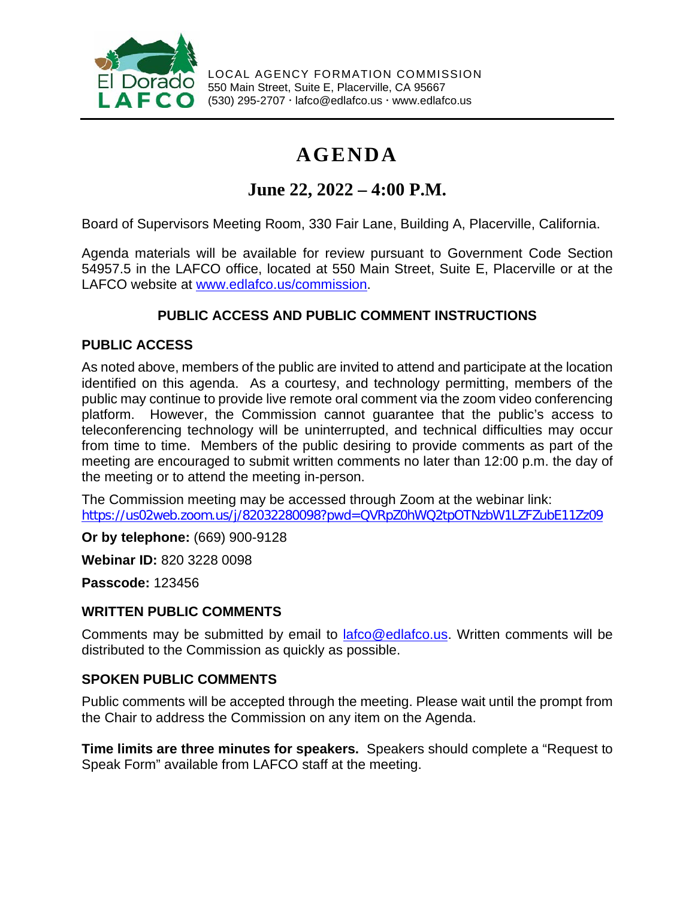

LOCAL AGENCY FORMATION COMMISSION 550 Main Street, Suite E, Placerville, CA 95667 (530) 295-2707 lafco@edlafco.us www.edlafco.us

# **AGENDA**

## **June 22, 2022 – 4:00 P.M.**

Board of Supervisors Meeting Room, 330 Fair Lane, Building A, Placerville, California.

Agenda materials will be available for review pursuant to Government Code Section 54957.5 in the LAFCO office, located at 550 Main Street, Suite E, Placerville or at the LAFCO website at [www.edlafco.us/commission.](http://www.edlafco.us/commission)

### **PUBLIC ACCESS AND PUBLIC COMMENT INSTRUCTIONS**

### **PUBLIC ACCESS**

As noted above, members of the public are invited to attend and participate at the location identified on this agenda. As a courtesy, and technology permitting, members of the public may continue to provide live remote oral comment via the zoom video conferencing platform. However, the Commission cannot guarantee that the public's access to teleconferencing technology will be uninterrupted, and technical difficulties may occur from time to time. Members of the public desiring to provide comments as part of the meeting are encouraged to submit written comments no later than 12:00 p.m. the day of the meeting or to attend the meeting in-person.

The Commission meeting may be accessed through Zoom at the webinar link: <https://us02web.zoom.us/j/82032280098?pwd=QVRpZ0hWQ2tpOTNzbW1LZFZubE11Zz09>

**Or by telephone:** (669) 900-9128

**Webinar ID:** 820 3228 0098

**Passcode:** 123456

### **WRITTEN PUBLIC COMMENTS**

Comments may be submitted by email to **lafco@edlafco.us**. Written comments will be distributed to the Commission as quickly as possible.

### **SPOKEN PUBLIC COMMENTS**

Public comments will be accepted through the meeting. Please wait until the prompt from the Chair to address the Commission on any item on the Agenda.

**Time limits are three minutes for speakers.** Speakers should complete a "Request to Speak Form" available from LAFCO staff at the meeting.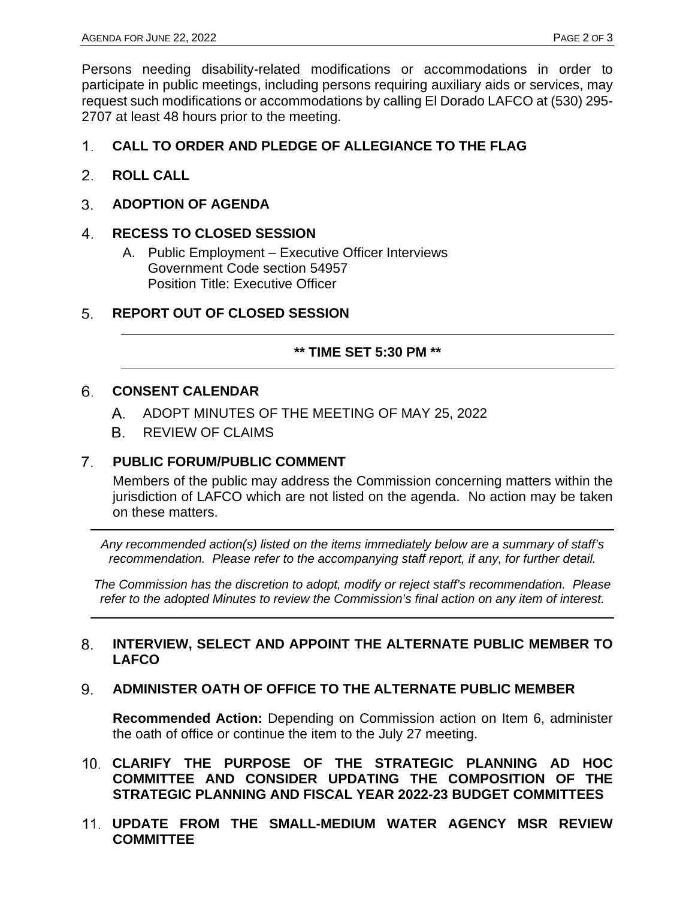Persons needing disability-related modifications or accommodations in order to participate in public meetings, including persons requiring auxiliary aids or services, may request such modifications or accommodations by calling El Dorado LAFCO at (530) 295- 2707 at least 48 hours prior to the meeting.

#### $1<sup>1</sup>$ **CALL TO ORDER AND PLEDGE OF ALLEGIANCE TO THE FLAG**

- $2.$ **ROLL CALL**
- 3. **ADOPTION OF AGENDA**

#### $4<sub>1</sub>$ **RECESS TO CLOSED SESSION**

- A. Public Employment Executive Officer Interviews Government Code section 54957 Position Title: Executive Officer
- **REPORT OUT OF CLOSED SESSION** 5.

#### **\*\* TIME SET 5:30 PM \*\***

#### 6. **CONSENT CALENDAR**

- A. ADOPT MINUTES OF THE MEETING OF MAY 25, 2022
- **B.** REVIEW OF CLAIMS

#### $7<sup>1</sup>$ **PUBLIC FORUM/PUBLIC COMMENT**

Members of the public may address the Commission concerning matters within the jurisdiction of LAFCO which are not listed on the agenda. No action may be taken on these matters.

*Any recommended action(s) listed on the items immediately below are a summary of staff's recommendation. Please refer to the accompanying staff report, if any, for further detail.* 

*The Commission has the discretion to adopt, modify or reject staff's recommendation. Please refer to the adopted Minutes to review the Commission's final action on any item of interest.*

#### 8. **INTERVIEW, SELECT AND APPOINT THE ALTERNATE PUBLIC MEMBER TO LAFCO**

#### **ADMINISTER OATH OF OFFICE TO THE ALTERNATE PUBLIC MEMBER** 9.

**Recommended Action:** Depending on Commission action on Item 6, administer the oath of office or continue the item to the July 27 meeting.

- **CLARIFY THE PURPOSE OF THE STRATEGIC PLANNING AD HOC COMMITTEE AND CONSIDER UPDATING THE COMPOSITION OF THE STRATEGIC PLANNING AND FISCAL YEAR 2022-23 BUDGET COMMITTEES**
- **UPDATE FROM THE SMALL-MEDIUM WATER AGENCY MSR REVIEW COMMITTEE**